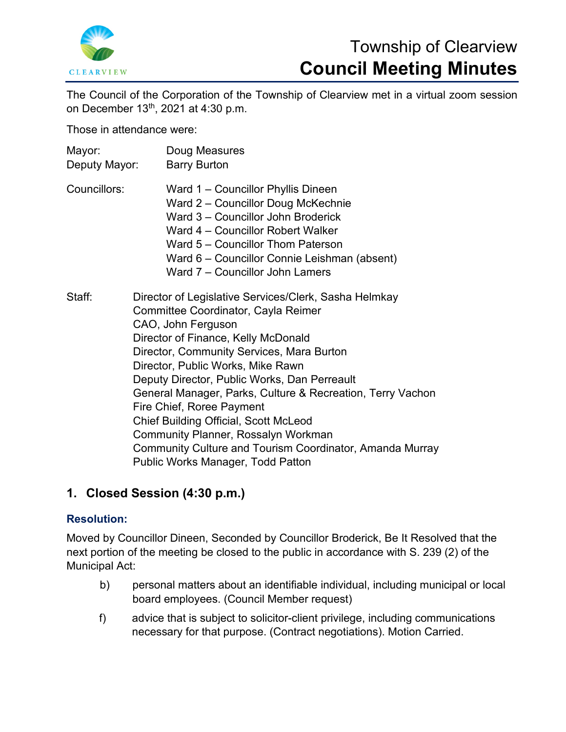

# Township of Clearview **Council Meeting Minutes**

The Council of the Corporation of the Township of Clearview met in a virtual zoom session on December 13th, 2021 at 4:30 p.m.

Those in attendance were:

| Mayor:<br>Deputy Mayor: | Doug Measures<br><b>Barry Burton</b>                                                                                                                                                                                                                                                                                                                                                                                                                                                                                                                                                  |
|-------------------------|---------------------------------------------------------------------------------------------------------------------------------------------------------------------------------------------------------------------------------------------------------------------------------------------------------------------------------------------------------------------------------------------------------------------------------------------------------------------------------------------------------------------------------------------------------------------------------------|
| Councillors:            | Ward 1 - Councillor Phyllis Dineen<br>Ward 2 - Councillor Doug McKechnie<br>Ward 3 – Councillor John Broderick<br>Ward 4 – Councillor Robert Walker<br>Ward 5 - Councillor Thom Paterson<br>Ward 6 - Councillor Connie Leishman (absent)<br>Ward 7 - Councillor John Lamers                                                                                                                                                                                                                                                                                                           |
| Staff:                  | Director of Legislative Services/Clerk, Sasha Helmkay<br>Committee Coordinator, Cayla Reimer<br>CAO, John Ferguson<br>Director of Finance, Kelly McDonald<br>Director, Community Services, Mara Burton<br>Director, Public Works, Mike Rawn<br>Deputy Director, Public Works, Dan Perreault<br>General Manager, Parks, Culture & Recreation, Terry Vachon<br>Fire Chief, Roree Payment<br><b>Chief Building Official, Scott McLeod</b><br>Community Planner, Rossalyn Workman<br>Community Culture and Tourism Coordinator, Amanda Murray<br><b>Public Works Manager, Todd Patton</b> |

## **1. Closed Session (4:30 p.m.)**

## **Resolution:**

Moved by Councillor Dineen, Seconded by Councillor Broderick, Be It Resolved that the next portion of the meeting be closed to the public in accordance with S. 239 (2) of the Municipal Act:

- b) personal matters about an identifiable individual, including municipal or local board employees. (Council Member request)
- f) advice that is subject to solicitor-client privilege, including communications necessary for that purpose. (Contract negotiations). Motion Carried.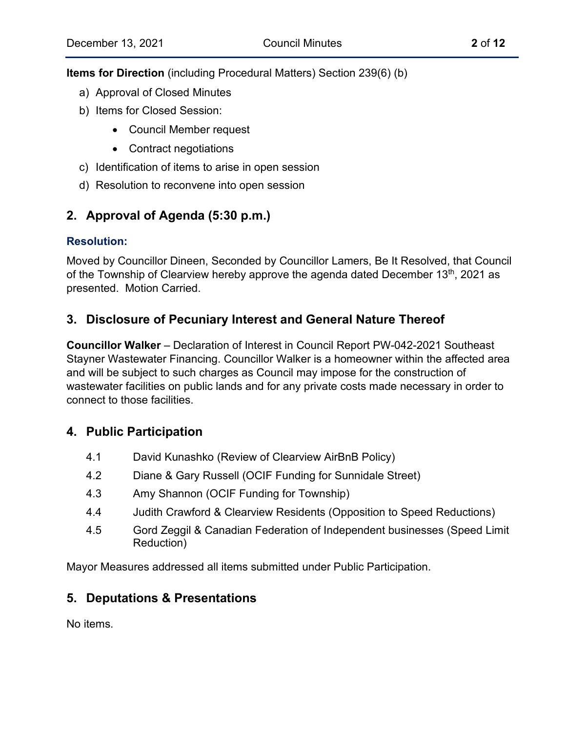**Items for Direction** (including Procedural Matters) Section 239(6) (b)

- a) Approval of Closed Minutes
- b) Items for Closed Session:
	- Council Member request
	- Contract negotiations
- c) Identification of items to arise in open session
- d) Resolution to reconvene into open session

## **2. Approval of Agenda (5:30 p.m.)**

## **Resolution:**

Moved by Councillor Dineen, Seconded by Councillor Lamers, Be It Resolved, that Council of the Township of Clearview hereby approve the agenda dated December  $13<sup>th</sup>$ , 2021 as presented. Motion Carried.

## **3. Disclosure of Pecuniary Interest and General Nature Thereof**

**Councillor Walker** – Declaration of Interest in Council Report PW-042-2021 Southeast Stayner Wastewater Financing. Councillor Walker is a homeowner within the affected area and will be subject to such charges as Council may impose for the construction of wastewater facilities on public lands and for any private costs made necessary in order to connect to those facilities.

## **4. Public Participation**

- 4.1 David Kunashko (Review of Clearview AirBnB Policy)
- 4.2 Diane & Gary Russell (OCIF Funding for Sunnidale Street)
- 4.3 Amy Shannon (OCIF Funding for Township)
- 4.4 Judith Crawford & Clearview Residents (Opposition to Speed Reductions)
- 4.5 Gord Zeggil & Canadian Federation of Independent businesses (Speed Limit Reduction)

Mayor Measures addressed all items submitted under Public Participation.

## **5. Deputations & Presentations**

No items.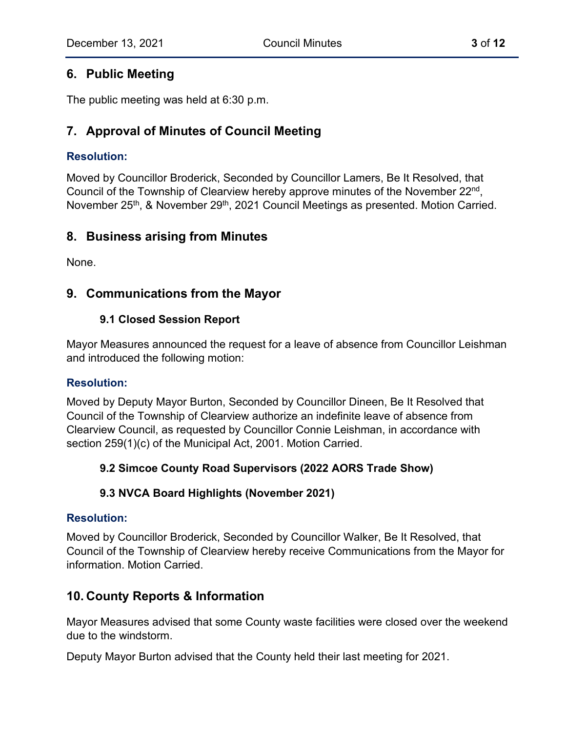## **6. Public Meeting**

The public meeting was held at 6:30 p.m.

## **7. Approval of Minutes of Council Meeting**

## **Resolution:**

Moved by Councillor Broderick, Seconded by Councillor Lamers, Be It Resolved, that Council of the Township of Clearview hereby approve minutes of the November 22nd, November 25<sup>th</sup>, & November 29<sup>th</sup>, 2021 Council Meetings as presented. Motion Carried.

## **8. Business arising from Minutes**

None.

## **9. Communications from the Mayor**

## **9.1 Closed Session Report**

Mayor Measures announced the request for a leave of absence from Councillor Leishman and introduced the following motion:

## **Resolution:**

Moved by Deputy Mayor Burton, Seconded by Councillor Dineen, Be It Resolved that Council of the Township of Clearview authorize an indefinite leave of absence from Clearview Council, as requested by Councillor Connie Leishman, in accordance with section 259(1)(c) of the Municipal Act, 2001. Motion Carried.

## **9.2 Simcoe County Road Supervisors (2022 AORS Trade Show)**

## **9.3 NVCA Board Highlights (November 2021)**

## **Resolution:**

Moved by Councillor Broderick, Seconded by Councillor Walker, Be It Resolved, that Council of the Township of Clearview hereby receive Communications from the Mayor for information. Motion Carried.

## **10. County Reports & Information**

Mayor Measures advised that some County waste facilities were closed over the weekend due to the windstorm.

Deputy Mayor Burton advised that the County held their last meeting for 2021.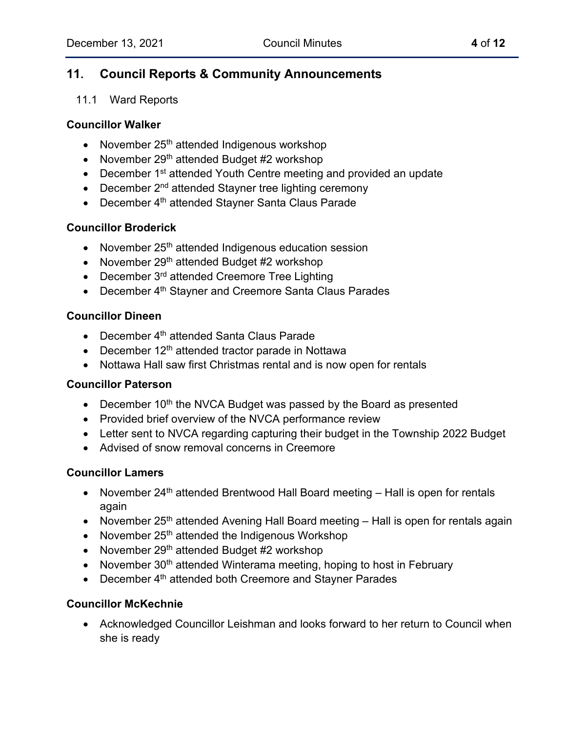## **11. Council Reports & Community Announcements**

#### 11.1 Ward Reports

#### **Councillor Walker**

- November 25<sup>th</sup> attended Indigenous workshop
- November  $29<sup>th</sup>$  attended Budget #2 workshop
- December 1<sup>st</sup> attended Youth Centre meeting and provided an update
- December  $2<sup>nd</sup>$  attended Stayner tree lighting ceremony
- December 4<sup>th</sup> attended Stayner Santa Claus Parade

#### **Councillor Broderick**

- November 25<sup>th</sup> attended Indigenous education session
- November 29<sup>th</sup> attended Budget #2 workshop
- December 3<sup>rd</sup> attended Creemore Tree Lighting
- December 4<sup>th</sup> Stayner and Creemore Santa Claus Parades

#### **Councillor Dineen**

- December 4<sup>th</sup> attended Santa Claus Parade
- December  $12<sup>th</sup>$  attended tractor parade in Nottawa
- Nottawa Hall saw first Christmas rental and is now open for rentals

#### **Councillor Paterson**

- December  $10<sup>th</sup>$  the NVCA Budget was passed by the Board as presented
- Provided brief overview of the NVCA performance review
- Letter sent to NVCA regarding capturing their budget in the Township 2022 Budget
- Advised of snow removal concerns in Creemore

#### **Councillor Lamers**

- November  $24<sup>th</sup>$  attended Brentwood Hall Board meeting  $-$  Hall is open for rentals again
- November 25<sup>th</sup> attended Avening Hall Board meeting Hall is open for rentals again
- November 25<sup>th</sup> attended the Indigenous Workshop
- November  $29<sup>th</sup>$  attended Budget #2 workshop
- November 30<sup>th</sup> attended Winterama meeting, hoping to host in February
- December 4<sup>th</sup> attended both Creemore and Stayner Parades

## **Councillor McKechnie**

• Acknowledged Councillor Leishman and looks forward to her return to Council when she is ready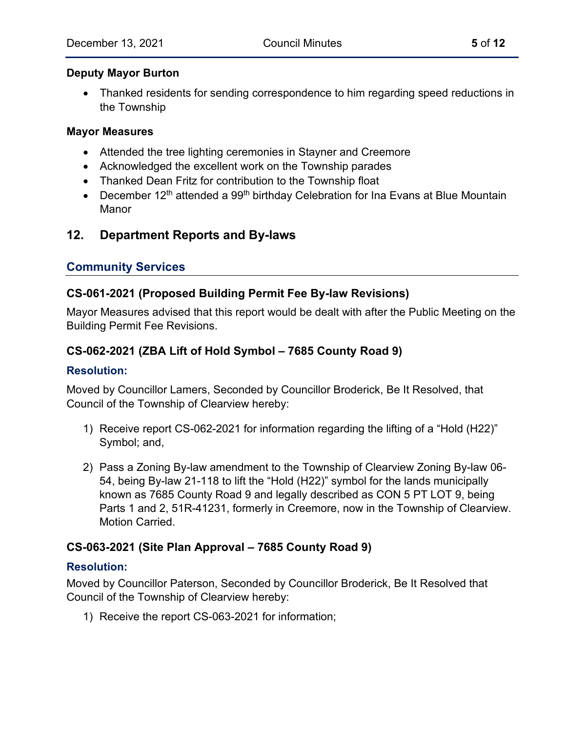#### **Deputy Mayor Burton**

• Thanked residents for sending correspondence to him regarding speed reductions in the Township

#### **Mayor Measures**

- Attended the tree lighting ceremonies in Stayner and Creemore
- Acknowledged the excellent work on the Township parades
- Thanked Dean Fritz for contribution to the Township float
- December  $12<sup>th</sup>$  attended a 99<sup>th</sup> birthday Celebration for Ina Evans at Blue Mountain Manor

## **12. Department Reports and By-laws**

## **Community Services**

## **CS-061-2021 (Proposed Building Permit Fee By-law Revisions)**

Mayor Measures advised that this report would be dealt with after the Public Meeting on the Building Permit Fee Revisions.

## **CS-062-2021 (ZBA Lift of Hold Symbol – 7685 County Road 9)**

### **Resolution:**

Moved by Councillor Lamers, Seconded by Councillor Broderick, Be It Resolved, that Council of the Township of Clearview hereby:

- 1) Receive report CS-062-2021 for information regarding the lifting of a "Hold (H22)" Symbol; and,
- 2) Pass a Zoning By-law amendment to the Township of Clearview Zoning By-law 06- 54, being By-law 21-118 to lift the "Hold (H22)" symbol for the lands municipally known as 7685 County Road 9 and legally described as CON 5 PT LOT 9, being Parts 1 and 2, 51R-41231, formerly in Creemore, now in the Township of Clearview. Motion Carried.

## **CS-063-2021 (Site Plan Approval – 7685 County Road 9)**

## **Resolution:**

Moved by Councillor Paterson, Seconded by Councillor Broderick, Be It Resolved that Council of the Township of Clearview hereby:

1) Receive the report CS-063-2021 for information;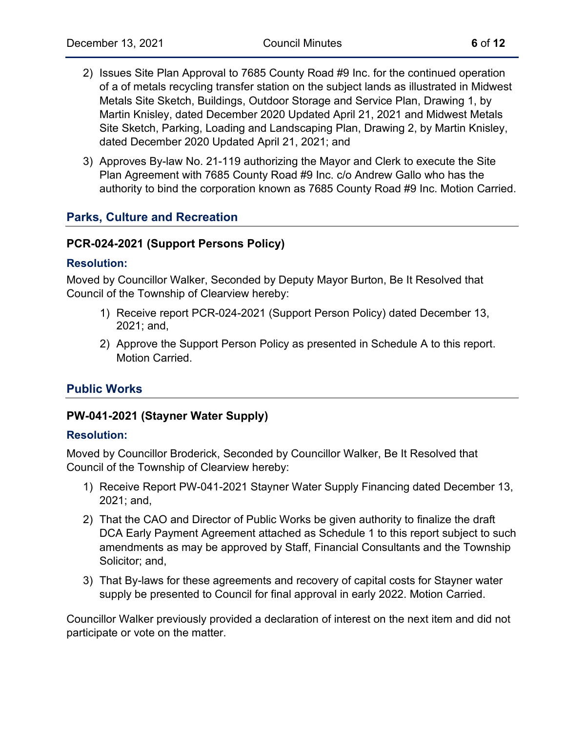- 
- 2) Issues Site Plan Approval to 7685 County Road #9 Inc. for the continued operation of a of metals recycling transfer station on the subject lands as illustrated in Midwest Metals Site Sketch, Buildings, Outdoor Storage and Service Plan, Drawing 1, by Martin Knisley, dated December 2020 Updated April 21, 2021 and Midwest Metals Site Sketch, Parking, Loading and Landscaping Plan, Drawing 2, by Martin Knisley, dated December 2020 Updated April 21, 2021; and
- 3) Approves By-law No. 21-119 authorizing the Mayor and Clerk to execute the Site Plan Agreement with 7685 County Road #9 Inc. c/o Andrew Gallo who has the authority to bind the corporation known as 7685 County Road #9 Inc. Motion Carried.

## **Parks, Culture and Recreation**

#### **PCR-024-2021 (Support Persons Policy)**

#### **Resolution:**

Moved by Councillor Walker, Seconded by Deputy Mayor Burton, Be It Resolved that Council of the Township of Clearview hereby:

- 1) Receive report PCR-024-2021 (Support Person Policy) dated December 13, 2021; and,
- 2) Approve the Support Person Policy as presented in Schedule A to this report. Motion Carried.

## **Public Works**

## **PW-041-2021 (Stayner Water Supply)**

#### **Resolution:**

Moved by Councillor Broderick, Seconded by Councillor Walker, Be It Resolved that Council of the Township of Clearview hereby:

- 1) Receive Report PW-041-2021 Stayner Water Supply Financing dated December 13, 2021; and,
- 2) That the CAO and Director of Public Works be given authority to finalize the draft DCA Early Payment Agreement attached as Schedule 1 to this report subject to such amendments as may be approved by Staff, Financial Consultants and the Township Solicitor; and,
- 3) That By-laws for these agreements and recovery of capital costs for Stayner water supply be presented to Council for final approval in early 2022. Motion Carried.

Councillor Walker previously provided a declaration of interest on the next item and did not participate or vote on the matter.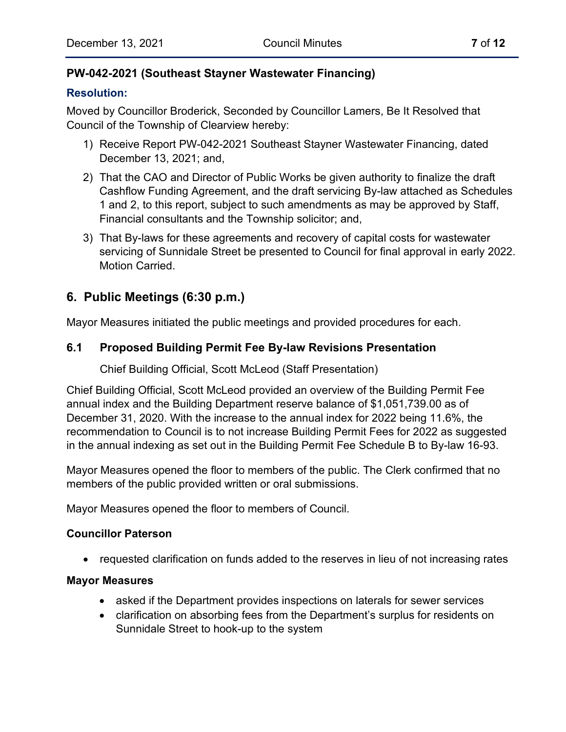## **PW-042-2021 (Southeast Stayner Wastewater Financing)**

## **Resolution:**

Moved by Councillor Broderick, Seconded by Councillor Lamers, Be It Resolved that Council of the Township of Clearview hereby:

- 1) Receive Report PW-042-2021 Southeast Stayner Wastewater Financing, dated December 13, 2021; and,
- 2) That the CAO and Director of Public Works be given authority to finalize the draft Cashflow Funding Agreement, and the draft servicing By-law attached as Schedules 1 and 2, to this report, subject to such amendments as may be approved by Staff, Financial consultants and the Township solicitor; and,
- 3) That By-laws for these agreements and recovery of capital costs for wastewater servicing of Sunnidale Street be presented to Council for final approval in early 2022. Motion Carried.

## **6. Public Meetings (6:30 p.m.)**

Mayor Measures initiated the public meetings and provided procedures for each.

## **6.1 Proposed Building Permit Fee By-law Revisions Presentation**

Chief Building Official, Scott McLeod (Staff Presentation)

Chief Building Official, Scott McLeod provided an overview of the Building Permit Fee annual index and the Building Department reserve balance of \$1,051,739.00 as of December 31, 2020. With the increase to the annual index for 2022 being 11.6%, the recommendation to Council is to not increase Building Permit Fees for 2022 as suggested in the annual indexing as set out in the Building Permit Fee Schedule B to By-law 16-93.

Mayor Measures opened the floor to members of the public. The Clerk confirmed that no members of the public provided written or oral submissions.

Mayor Measures opened the floor to members of Council.

## **Councillor Paterson**

• requested clarification on funds added to the reserves in lieu of not increasing rates

#### **Mayor Measures**

- asked if the Department provides inspections on laterals for sewer services
- clarification on absorbing fees from the Department's surplus for residents on Sunnidale Street to hook-up to the system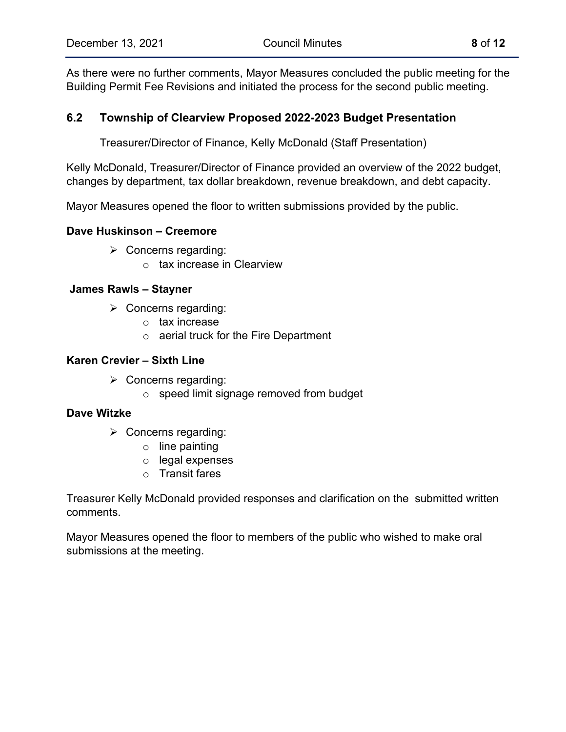As there were no further comments, Mayor Measures concluded the public meeting for the Building Permit Fee Revisions and initiated the process for the second public meeting.

## **6.2 Township of Clearview Proposed 2022-2023 Budget Presentation**

Treasurer/Director of Finance, Kelly McDonald (Staff Presentation)

Kelly McDonald, Treasurer/Director of Finance provided an overview of the 2022 budget, changes by department, tax dollar breakdown, revenue breakdown, and debt capacity.

Mayor Measures opened the floor to written submissions provided by the public.

#### **Dave Huskinson – Creemore**

- $\triangleright$  Concerns regarding:
	- o tax increase in Clearview

#### **James Rawls – Stayner**

- $\triangleright$  Concerns regarding:
	- o tax increase
	- o aerial truck for the Fire Department

#### **Karen Crevier – Sixth Line**

- $\triangleright$  Concerns regarding:
	- o speed limit signage removed from budget

#### **Dave Witzke**

- $\triangleright$  Concerns regarding:
	- $\circ$  line painting
	- o legal expenses
	- o Transit fares

Treasurer Kelly McDonald provided responses and clarification on the submitted written comments.

Mayor Measures opened the floor to members of the public who wished to make oral submissions at the meeting.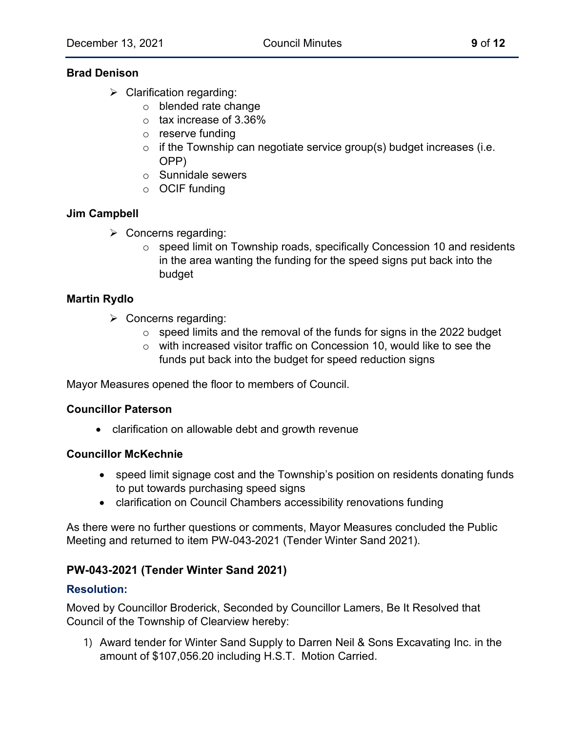### **Brad Denison**

- $\triangleright$  Clarification regarding:
	- o blended rate change
	- $\circ$  tax increase of 3.36%
	- o reserve funding
	- $\circ$  if the Township can negotiate service group(s) budget increases (i.e. OPP)
	- o Sunnidale sewers
	- o OCIF funding

## **Jim Campbell**

- $\triangleright$  Concerns regarding:
	- o speed limit on Township roads, specifically Concession 10 and residents in the area wanting the funding for the speed signs put back into the budget

#### **Martin Rydlo**

- $\triangleright$  Concerns regarding:
	- $\circ$  speed limits and the removal of the funds for signs in the 2022 budget
	- o with increased visitor traffic on Concession 10, would like to see the funds put back into the budget for speed reduction signs

Mayor Measures opened the floor to members of Council.

#### **Councillor Paterson**

• clarification on allowable debt and growth revenue

#### **Councillor McKechnie**

- speed limit signage cost and the Township's position on residents donating funds to put towards purchasing speed signs
- clarification on Council Chambers accessibility renovations funding

As there were no further questions or comments, Mayor Measures concluded the Public Meeting and returned to item PW-043-2021 (Tender Winter Sand 2021).

## **PW-043-2021 (Tender Winter Sand 2021)**

#### **Resolution:**

Moved by Councillor Broderick, Seconded by Councillor Lamers, Be It Resolved that Council of the Township of Clearview hereby:

1) Award tender for Winter Sand Supply to Darren Neil & Sons Excavating Inc. in the amount of \$107,056.20 including H.S.T. Motion Carried.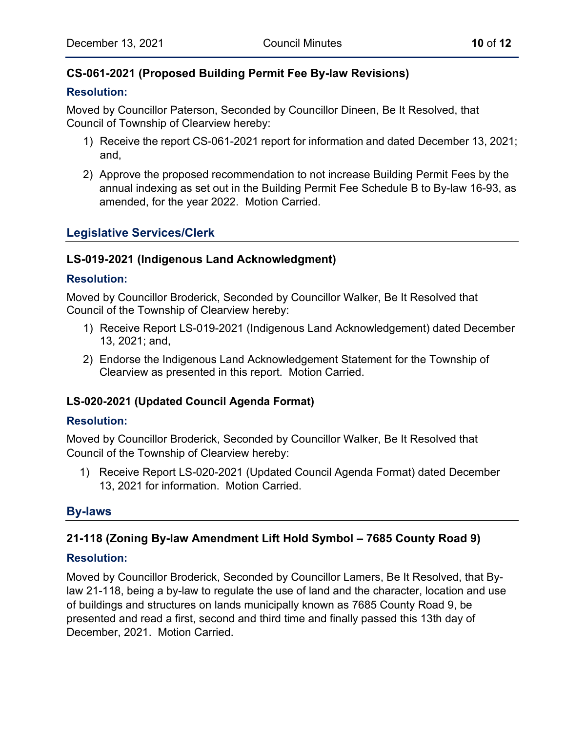## **CS-061-2021 (Proposed Building Permit Fee By-law Revisions)**

### **Resolution:**

Moved by Councillor Paterson, Seconded by Councillor Dineen, Be It Resolved, that Council of Township of Clearview hereby:

- 1) Receive the report CS-061-2021 report for information and dated December 13, 2021; and,
- 2) Approve the proposed recommendation to not increase Building Permit Fees by the annual indexing as set out in the Building Permit Fee Schedule B to By-law 16-93, as amended, for the year 2022. Motion Carried.

## **Legislative Services/Clerk**

## **LS-019-2021 (Indigenous Land Acknowledgment)**

## **Resolution:**

Moved by Councillor Broderick, Seconded by Councillor Walker, Be It Resolved that Council of the Township of Clearview hereby:

- 1) Receive Report LS-019-2021 (Indigenous Land Acknowledgement) dated December 13, 2021; and,
- 2) Endorse the Indigenous Land Acknowledgement Statement for the Township of Clearview as presented in this report. Motion Carried.

## **LS-020-2021 (Updated Council Agenda Format)**

## **Resolution:**

Moved by Councillor Broderick, Seconded by Councillor Walker, Be It Resolved that Council of the Township of Clearview hereby:

1) Receive Report LS-020-2021 (Updated Council Agenda Format) dated December 13, 2021 for information. Motion Carried.

## **By-laws**

## **21-118 (Zoning By-law Amendment Lift Hold Symbol – 7685 County Road 9)**

## **Resolution:**

Moved by Councillor Broderick, Seconded by Councillor Lamers, Be It Resolved, that Bylaw 21-118, being a by-law to regulate the use of land and the character, location and use of buildings and structures on lands municipally known as 7685 County Road 9, be presented and read a first, second and third time and finally passed this 13th day of December, 2021. Motion Carried.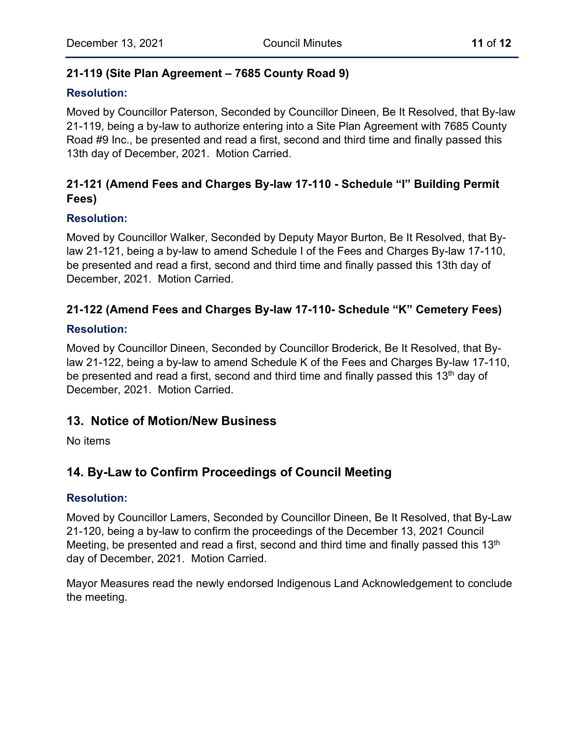## **21-119 (Site Plan Agreement – 7685 County Road 9)**

## **Resolution:**

Moved by Councillor Paterson, Seconded by Councillor Dineen, Be It Resolved, that By-law 21-119, being a by-law to authorize entering into a Site Plan Agreement with 7685 County Road #9 Inc., be presented and read a first, second and third time and finally passed this 13th day of December, 2021. Motion Carried.

## **21-121 (Amend Fees and Charges By-law 17-110 - Schedule "I" Building Permit Fees)**

## **Resolution:**

Moved by Councillor Walker, Seconded by Deputy Mayor Burton, Be It Resolved, that Bylaw 21-121, being a by-law to amend Schedule I of the Fees and Charges By-law 17-110, be presented and read a first, second and third time and finally passed this 13th day of December, 2021. Motion Carried.

## **21-122 (Amend Fees and Charges By-law 17-110- Schedule "K" Cemetery Fees)**

#### **Resolution:**

Moved by Councillor Dineen, Seconded by Councillor Broderick, Be It Resolved, that Bylaw 21-122, being a by-law to amend Schedule K of the Fees and Charges By-law 17-110, be presented and read a first, second and third time and finally passed this 13<sup>th</sup> day of December, 2021. Motion Carried.

## **13. Notice of Motion/New Business**

No items

## **14. By-Law to Confirm Proceedings of Council Meeting**

#### **Resolution:**

Moved by Councillor Lamers, Seconded by Councillor Dineen, Be It Resolved, that By-Law 21-120, being a by-law to confirm the proceedings of the December 13, 2021 Council Meeting, be presented and read a first, second and third time and finally passed this 13<sup>th</sup> day of December, 2021. Motion Carried.

Mayor Measures read the newly endorsed Indigenous Land Acknowledgement to conclude the meeting.